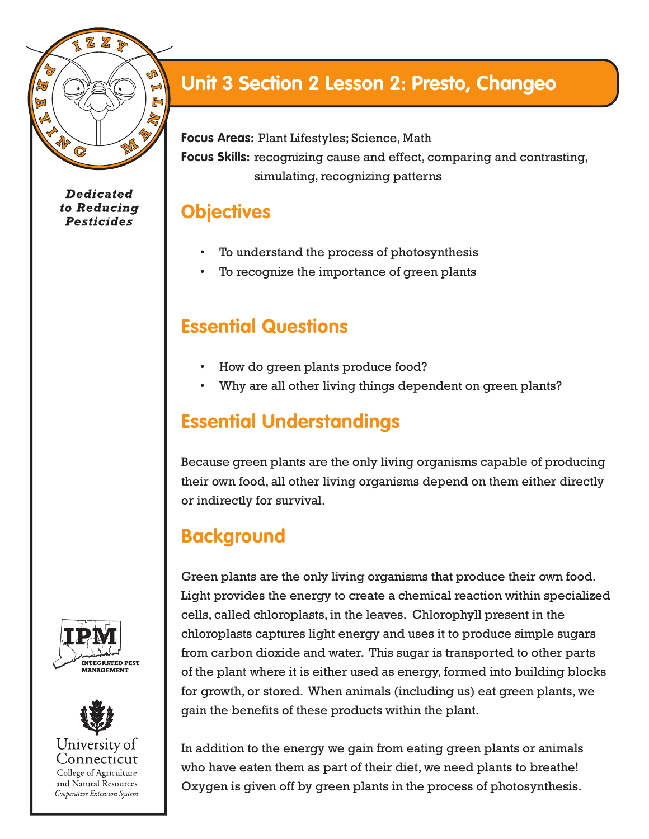

**Dedicated** to Reducing **Pesticides** 

# **Unit 3 Section 2 Lesson 2: Presto, Changeo**

**Focus Areas:** Plant Lifestyles; Science, Math

**Focus Skills:** recognizing cause and effect, comparing and contrasting, simulating, recognizing patterns

#### **Objectives**

- To understand the process of photosynthesis
- To recognize the importance of green plants

#### **Essential Questions**

- How do green plants produce food?
- Why are all other living things dependent on green plants?

## **Essential Understandings**

Because green plants are the only living organisms capable of producing their own food, all other living organisms depend on them either directly or indirectly for survival.

## **Background**

Green plants are the only living organisms that produce their own food. Light provides the energy to create a chemical reaction within specialized cells, called chloroplasts, in the leaves. Chlorophyll present in the chloroplasts captures light energy and uses it to produce simple sugars from carbon dioxide and water. This sugar is transported to other parts of the plant where it is either used as energy, formed into building blocks for growth, or stored. When animals (including us) eat green plants, we gain the benefits of these products within the plant.

In addition to the energy we gain from eating green plants or animals who have eaten them as part of their diet, we need plants to breathe! Oxygen is given off by green plants in the process of photosynthesis.



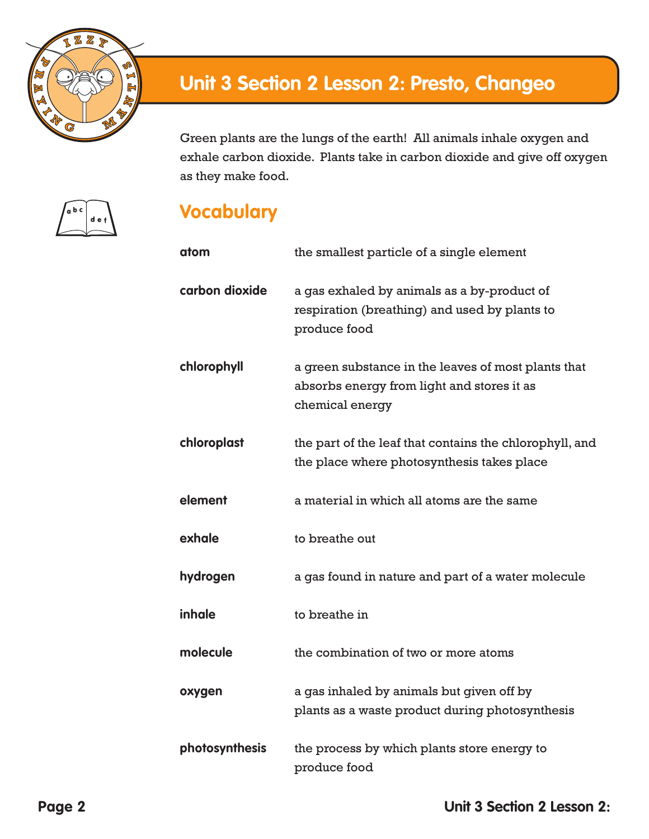

Green plants are the lungs of the earth! All animals inhale oxygen and exhale carbon dioxide. Plants take in carbon dioxide and give off oxygen as they make food.



#### **Vocabulary**

| atom           | the smallest particle of a single element                                                                            |
|----------------|----------------------------------------------------------------------------------------------------------------------|
| carbon dioxide | a gas exhaled by animals as a by-product of<br>respiration (breathing) and used by plants to<br>produce food         |
| chlorophyll    | a green substance in the leaves of most plants that<br>absorbs energy from light and stores it as<br>chemical energy |
| chloroplast    | the part of the leaf that contains the chlorophyll, and<br>the place where photosynthesis takes place                |
| element        | a material in which all atoms are the same                                                                           |
| exhale         | to breathe out                                                                                                       |
| hydrogen       | a gas found in nature and part of a water molecule                                                                   |
| inhale         | to breathe in                                                                                                        |
| molecule       | the combination of two or more atoms                                                                                 |
| oxygen         | a gas inhaled by animals but given off by<br>plants as a waste product during photosynthesis                         |
| photosynthesis | the process by which plants store energy to<br>produce food                                                          |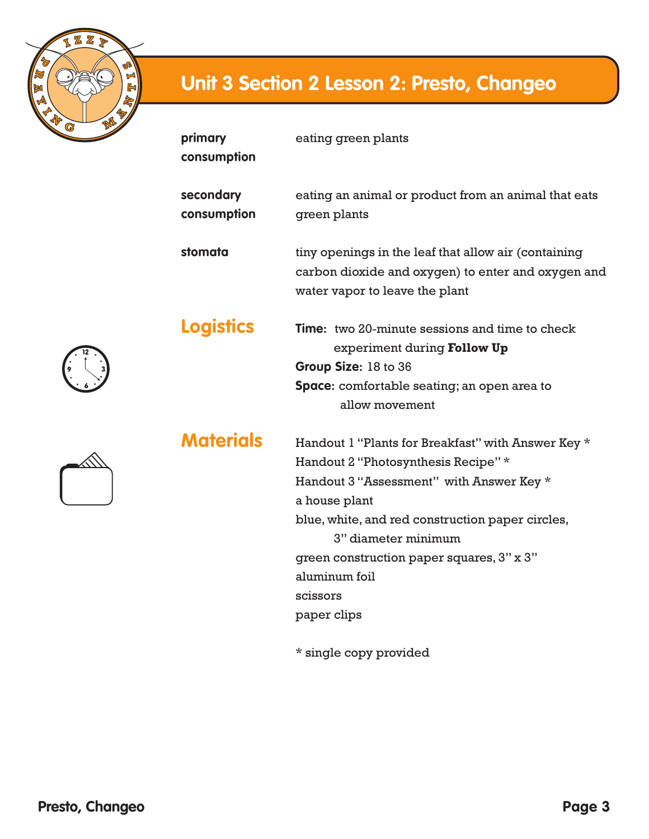

| primary<br>consumption   | eating green plants                                                                                                                                                                                                                                                                                                        |
|--------------------------|----------------------------------------------------------------------------------------------------------------------------------------------------------------------------------------------------------------------------------------------------------------------------------------------------------------------------|
| secondary<br>consumption | eating an animal or product from an animal that eats<br>green plants                                                                                                                                                                                                                                                       |
| stomata                  | tiny openings in the leaf that allow air (containing<br>carbon dioxide and oxygen) to enter and oxygen and<br>water vapor to leave the plant                                                                                                                                                                               |
| <b>Logistics</b>         | <b>Time:</b> two 20-minute sessions and time to check<br>experiment during Follow Up<br>Group Size: 18 to 36<br><b>Space:</b> comfortable seating; an open area to<br>allow movement                                                                                                                                       |
| <b>Materials</b>         | Handout 1 "Plants for Breakfast" with Answer Key *<br>Handout 2 "Photosynthesis Recipe" *<br>Handout 3 "Assessment" with Answer Key *<br>a house plant<br>blue, white, and red construction paper circles,<br>3" diameter minimum<br>green construction paper squares, 3" x 3"<br>aluminum foil<br>scissors<br>paper clips |

\* single copy provided

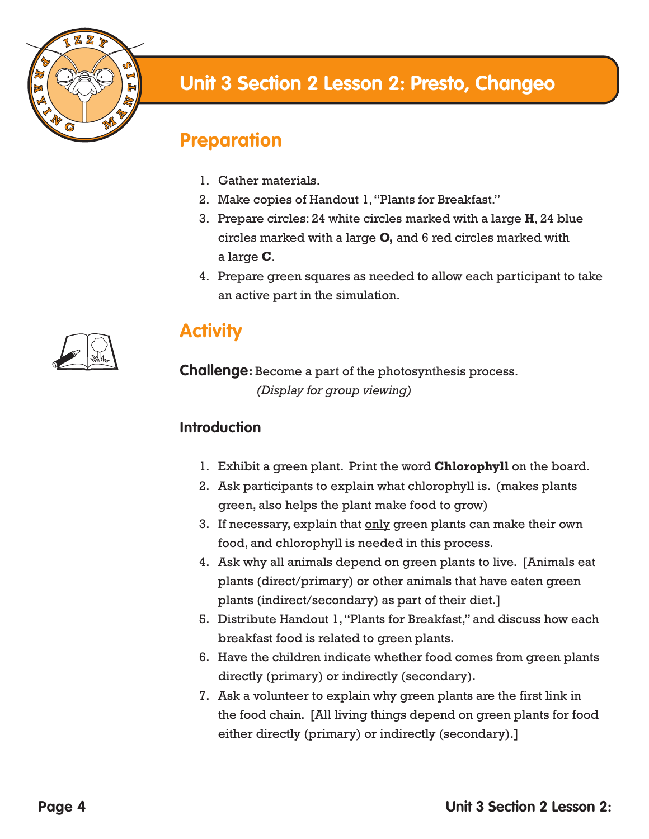

#### **Preparation**

- 1. Gather materials.
- 2. Make copies of Handout 1, "Plants for Breakfast."
- 3. Prepare circles: 24 white circles marked with a large **H**, 24 blue circles marked with a large **O,** and 6 red circles marked with a large **C**.
- 4. Prepare green squares as needed to allow each participant to take an active part in the simulation.



## **Activity**

**Challenge:** Become a part of the photosynthesis process.  *(Display for group viewing)*

#### **Introduction**

- 1. Exhibit a green plant. Print the word **Chlorophyll** on the board.
- 2. Ask participants to explain what chlorophyll is. (makes plants green, also helps the plant make food to grow)
- 3. If necessary, explain that only green plants can make their own food, and chlorophyll is needed in this process.
- 4. Ask why all animals depend on green plants to live. [Animals eat plants (direct/primary) or other animals that have eaten green plants (indirect/secondary) as part of their diet.]
- 5. Distribute Handout 1, "Plants for Breakfast," and discuss how each breakfast food is related to green plants.
- 6. Have the children indicate whether food comes from green plants directly (primary) or indirectly (secondary).
- 7. Ask a volunteer to explain why green plants are the first link in the food chain. [All living things depend on green plants for food either directly (primary) or indirectly (secondary).]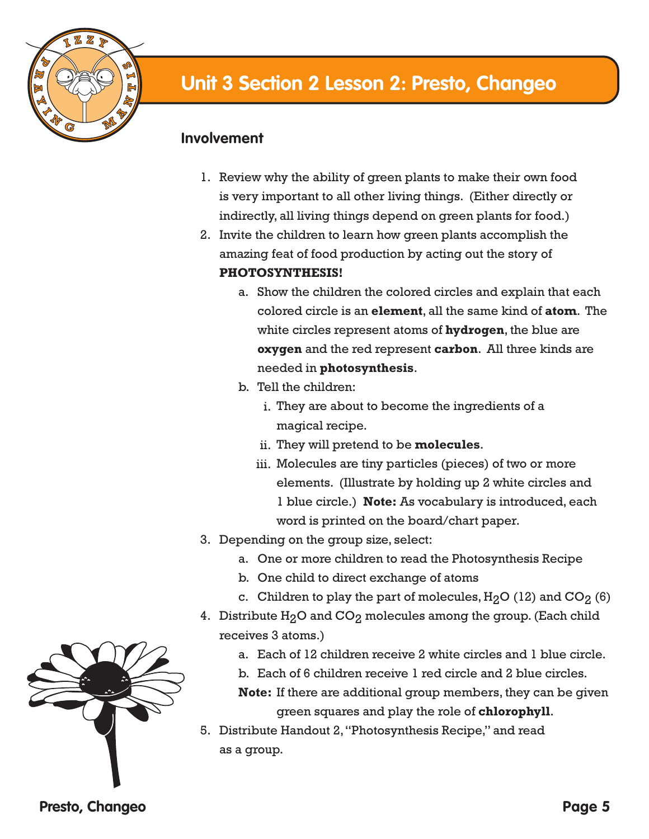

#### **Involvement**

- 1. Review why the ability of green plants to make their own food is very important to all other living things. (Either directly or indirectly, all living things depend on green plants for food.)
- 2. Invite the children to learn how green plants accomplish the amazing feat of food production by acting out the story of **PHOTOSYNTHESIS!**
	- a. Show the children the colored circles and explain that each colored circle is an **element**, all the same kind of **atom**. The white circles represent atoms of **hydrogen**, the blue are **oxygen** and the red represent **carbon**. All three kinds are needed in **photosynthesis**.
	- b. Tell the children:
		- i. They are about to become the ingredients of a magical recipe.
		- ii. They will pretend to be **molecules**.
		- iii. Molecules are tiny particles (pieces) of two or more elements. (Illustrate by holding up 2 white circles and 1 blue circle.) **Note:** As vocabulary is introduced, each word is printed on the board/chart paper.
- 3. Depending on the group size, select:
	- a. One or more children to read the Photosynthesis Recipe
	- b. One child to direct exchange of atoms
	- c. Children to play the part of molecules,  $H_2O(12)$  and  $CO_2(6)$
- 4. Distribute  $H_2O$  and  $CO_2$  molecules among the group. (Each child receives 3 atoms.)
	- a. Each of 12 children receive 2 white circles and 1 blue circle.
	- b. Each of 6 children receive 1 red circle and 2 blue circles.

**Note:** If there are additional group members, they can be given green squares and play the role of **chlorophyll**.

5. Distribute Handout 2, "Photosynthesis Recipe," and read as a group.

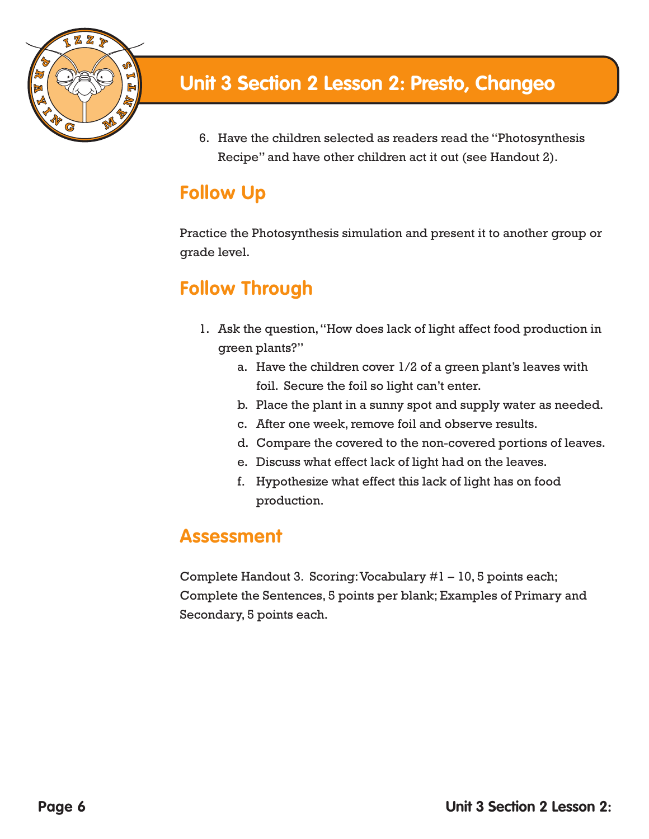

6. Have the children selected as readers read the "Photosynthesis Recipe" and have other children act it out (see Handout 2).

## **Follow Up**

Practice the Photosynthesis simulation and present it to another group or grade level.

# **Follow Through**

- 1. Ask the question, "How does lack of light affect food production in green plants?"
	- a. Have the children cover 1/2 of a green plant's leaves with foil. Secure the foil so light can't enter.
	- b. Place the plant in a sunny spot and supply water as needed.
	- c. After one week, remove foil and observe results.
	- d. Compare the covered to the non-covered portions of leaves.
	- e. Discuss what effect lack of light had on the leaves.
	- f. Hypothesize what effect this lack of light has on food production.

#### **Assessment**

Complete Handout 3. Scoring: Vocabulary #1 – 10, 5 points each; Complete the Sentences, 5 points per blank; Examples of Primary and Secondary, 5 points each.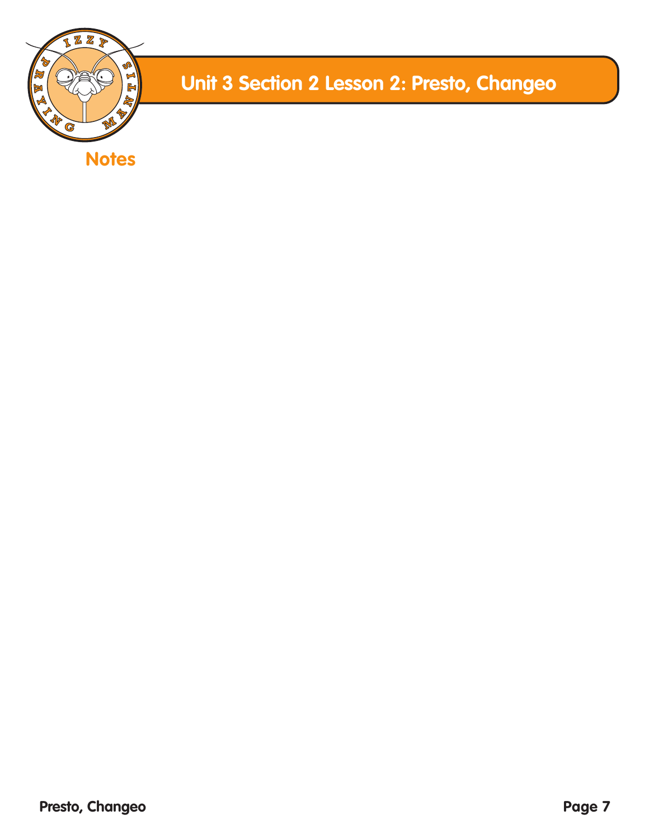

**Notes**